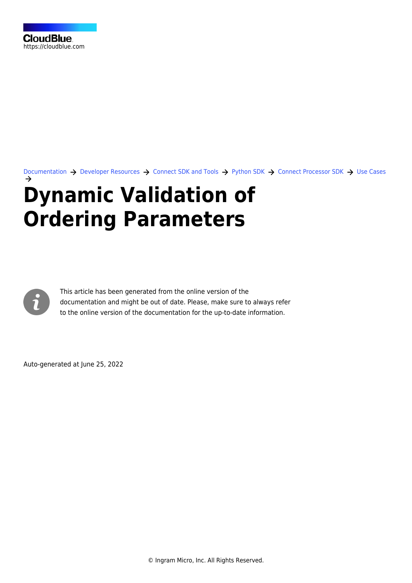[Documentation](https://connect.cloudblue.com/documentation)  $\rightarrow$  [Developer Resources](https://connect.cloudblue.com/community/developers/)  $\rightarrow$  [Connect SDK and Tools](https://connect.cloudblue.com/community/developers/sdk/)  $\rightarrow$  [Python SDK](https://connect.cloudblue.com/community/developers/sdk/python-sdk/)  $\rightarrow$  [Connect Processor SDK](https://connect.cloudblue.com/community/developers/sdk/python-sdk/connect-processor-sdk/)  $\rightarrow$  [Use Cases](https://connect.cloudblue.com/community/developers/sdk/python-sdk/connect-processor-sdk/use-cases/)

# **[Dynamic Validation of](https://connect.cloudblue.com/community/developers/sdk/python-sdk/connect-processor-sdk/use-cases/dynamic-validation/) [Ordering Parameters](https://connect.cloudblue.com/community/developers/sdk/python-sdk/connect-processor-sdk/use-cases/dynamic-validation/)**



This article has been generated from the online version of the documentation and might be out of date. Please, make sure to always refer to the online version of the documentation for the up-to-date information.

Auto-generated at June 25, 2022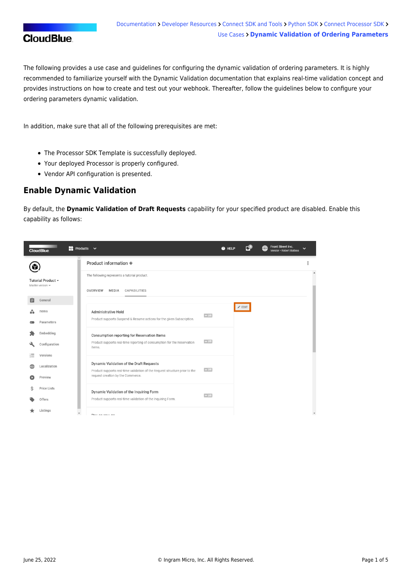## **CloudBlue**

The following provides a use case and guidelines for configuring the dynamic validation of ordering parameters. It is highly recommended to familiarize yourself with the [Dynamic Validation](https://connect.cloudblue.com/community/modules/subscriptions/dynamic-validation-parameters/) documentation that explains real-time validation concept and provides instructions on how to create and test out your webhook. Thereafter, follow the guidelines below to configure your ordering parameters dynamic validation.

In addition, make sure that all of the following prerequisites are met:

- The [Processor SDK Template](https://connect.cloudblue.com/community/sdk/connect-processor-sdk/processor-template/) is successfully deployed.
- Your deployed Processor is [properly configured.](https://connect.cloudblue.com/community/sdk/connect-processor-sdk/configuration/)
- [Vendor API configuration](https://connect.cloudblue.com/community/sdk/connect-processor-sdk/configuration/#Connection_configuration) is presented.

#### **Enable Dynamic Validation**

By default, the **Dynamic Validation of Draft Requests** capability for your specified product are disabled. Enable this capability as follows:

|                    | <b>CloudBlue</b>      | $\rightarrow$ Products $\sim$ |                                                                                                                         |               | <b>@</b> HELP |                 | 魚 | Front Street Inc.<br>Vendor · Robert Balboa |  |
|--------------------|-----------------------|-------------------------------|-------------------------------------------------------------------------------------------------------------------------|---------------|---------------|-----------------|---|---------------------------------------------|--|
| Tutorial Product - |                       |                               | Product information @                                                                                                   |               |               |                 |   |                                             |  |
|                    |                       |                               | The following represents a tutorial product.                                                                            |               |               |                 |   |                                             |  |
|                    | Master version $\sim$ |                               | <b>OVERVIEW</b><br><b>MEDIA</b><br>CAPABILITIES                                                                         |               |               |                 |   |                                             |  |
| 目                  | General               |                               |                                                                                                                         |               |               |                 |   |                                             |  |
| шē                 | Items                 |                               | Administrative Hold                                                                                                     | $\bullet$ off |               | $\sqrt{2}$ EDIT |   |                                             |  |
|                    | Parameters            |                               | Product supports Suspend & Resume actions for the given Subscription.                                                   |               |               |                 |   |                                             |  |
|                    | Embedding             |                               | Consumption reporting for Reservation Items                                                                             |               |               |                 |   |                                             |  |
|                    | Configuration         |                               | Product supports real-time reporting of consumption for the Reservation<br>items.                                       | $\bullet$ Off |               |                 |   |                                             |  |
| įΞ                 | Versions              |                               |                                                                                                                         |               |               |                 |   |                                             |  |
|                    | Localization          |                               | Dynamic Validation of the Draft Requests<br>Product supports real-time validation of the Request structure prior to the | $\bullet$ Off |               |                 |   |                                             |  |
|                    | Preview               |                               | request creation by the Commerce.                                                                                       |               |               |                 |   |                                             |  |
|                    | <b>Price Lists</b>    |                               | Dynamic Validation of the Inquiring Form                                                                                | $\bullet$ Off |               |                 |   |                                             |  |
|                    | Offers                |                               | Product supports real-time validation of the Inquiring Form.                                                            |               |               |                 |   |                                             |  |
|                    | Listings              |                               | Day as you as                                                                                                           |               |               |                 |   |                                             |  |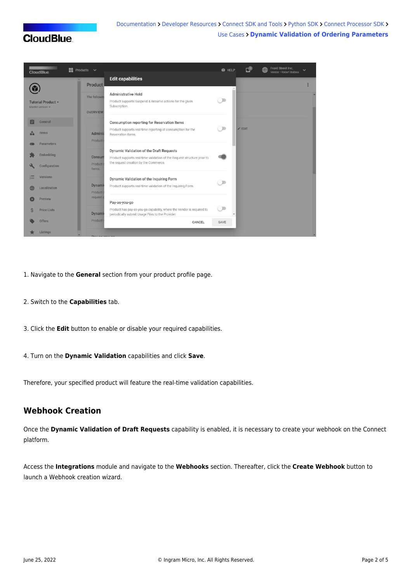## **CloudBlue**



- 1. Navigate to the **General** section from your product profile page.
- 2. Switch to the **Capabilities** tab.
- 3. Click the **Edit** button to enable or disable your required capabilities.
- 4. Turn on the **Dynamic Validation** capabilities and click **Save**.

Therefore, your specified product will feature the real-time validation capabilities.

#### **Webhook Creation**

Once the **Dynamic Validation of Draft Requests** capability is enabled, it is necessary to create your webhook on the Connect platform.

Access the **Integrations** module and navigate to the **Webhooks** section. Thereafter, click the **Create Webhook** button to launch a Webhook creation wizard.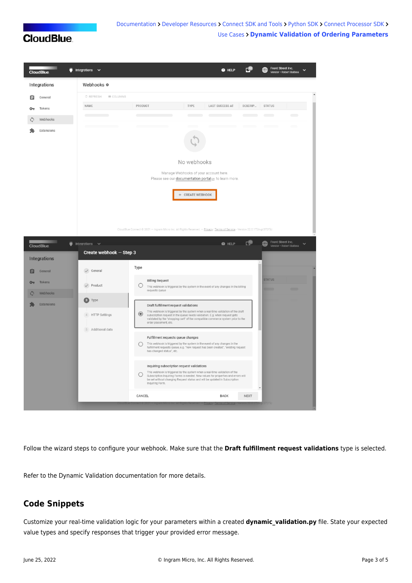

| o<br><b>CloudBlue</b> | Front Street Inc.<br>⊕<br>Integrations $\sim$<br>@ HELP<br>$\checkmark$<br>Vendor · Robert Balboa                                            |  |  |  |  |  |  |  |  |
|-----------------------|----------------------------------------------------------------------------------------------------------------------------------------------|--|--|--|--|--|--|--|--|
| Integrations          | Webhooks @                                                                                                                                   |  |  |  |  |  |  |  |  |
| 自<br>General          | $\blacktriangle$<br><b>III COLUMNS</b><br>C REFRESH                                                                                          |  |  |  |  |  |  |  |  |
| Tokens<br>$O_T$       | PRODUCT<br>TYPE<br><b>LAST SUCCESS AT</b><br>DESCRIP<br><b>STATUS</b><br>NAME                                                                |  |  |  |  |  |  |  |  |
| Webhooks<br>C         | $\hspace{0.1cm} \longrightarrow \hspace{0.1cm}$<br>$\overline{\phantom{a}}$<br><b>Contract Contract Contract</b><br>$\overline{\phantom{a}}$ |  |  |  |  |  |  |  |  |
| Extensions            | $\overline{\phantom{a}}$<br>$\sim$ $\sim$<br>$\sim$<br>No webhooks<br>Manage Webhooks of your account here.                                  |  |  |  |  |  |  |  |  |
|                       | Please see our documentation portal [2] to learn more.                                                                                       |  |  |  |  |  |  |  |  |
|                       | + CREATE WEBHOOK                                                                                                                             |  |  |  |  |  |  |  |  |
|                       | CloudBlue Connect @ 2021 - Ingram Micro Inc. All Rights Reserved. - Privacy   Terms of Service - Version 22.0.1726-gd372f5d                  |  |  |  |  |  |  |  |  |



Follow the wizard steps to configure your webhook. Make sure that the **Draft fulfillment request validations** type is selected.

Refer to the [Dynamic Validation](https://connect.cloudblue.com/community/modules/subscriptions/dynamic-validation-parameters/#Webhook_Creation) documentation for more details.

## **Code Snippets**

Customize your real-time validation logic for your parameters within a created **dynamic validation.py** file. State your expected value types and specify responses that trigger your provided error message.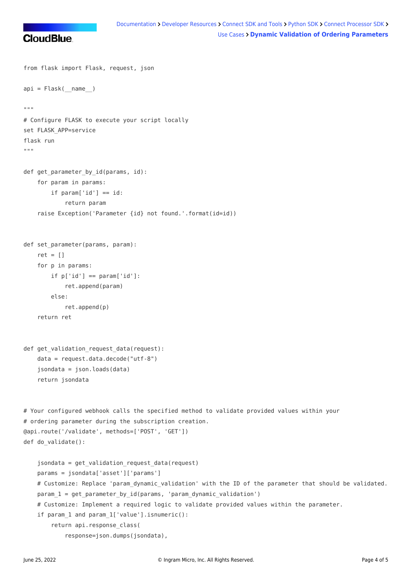

from flask import Flask, request, json

```
api = Flash( name )"''"# Configure FLASK to execute your script locally
set FLASK_APP=service
flask run
"""
def get_parameter_by_id(params, id):
     for param in params:
        if param['id'] == id: return param
     raise Exception('Parameter {id} not found.'.format(id=id))
def set parameter(params, param):
    ret = 11 for p in params:
        if p['id'] == param['id']:
             ret.append(param)
         else:
             ret.append(p)
     return ret
def get validation request data(request):
     data = request.data.decode("utf-8")
     jsondata = json.loads(data)
     return jsondata
# Your configured webhook calls the specified method to validate provided values within your
# ordering parameter during the subscription creation.
@api.route('/validate', methods=['POST', 'GET'])
def do_validate():
     jsondata = get_validation_request_data(request)
     params = jsondata['asset']['params']
    # Customize: Replace 'param dynamic validation' with the ID of the parameter that should be validated.
     param_1 = get_parameter_by_id(params, 'param_dynamic_validation')
     # Customize: Implement a required logic to validate provided values within the parameter.
     if param_1 and param_1['value'].isnumeric():
         return api.response_class(
             response=json.dumps(jsondata),
```